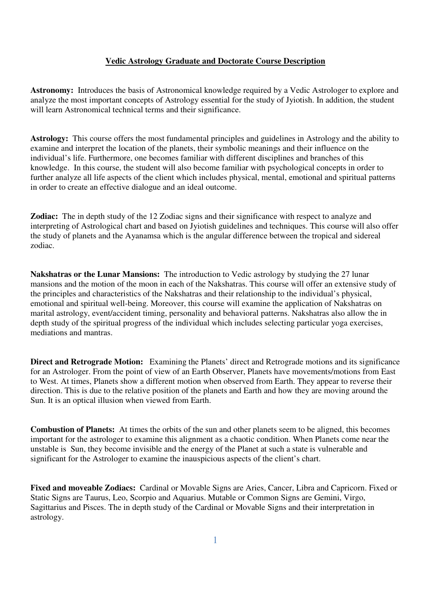## **Vedic Astrology Graduate and Doctorate Course Description**

**Astronomy:** Introduces the basis of Astronomical knowledge required by a Vedic Astrologer to explore and analyze the most important concepts of Astrology essential for the study of Jyiotish. In addition, the student will learn Astronomical technical terms and their significance.

**Astrology:** This course offers the most fundamental principles and guidelines in Astrology and the ability to examine and interpret the location of the planets, their symbolic meanings and their influence on the individual's life. Furthermore, one becomes familiar with different disciplines and branches of this knowledge. In this course, the student will also become familiar with psychological concepts in order to further analyze all life aspects of the client which includes physical, mental, emotional and spiritual patterns in order to create an effective dialogue and an ideal outcome.

**Zodiac:** The in depth study of the 12 Zodiac signs and their significance with respect to analyze and interpreting of Astrological chart and based on Jyiotish guidelines and techniques. This course will also offer the study of planets and the Ayanamsa which is the angular difference between the tropical and sidereal zodiac.

**Nakshatras or the Lunar Mansions:** The introduction to Vedic astrology by studying the 27 lunar mansions and the motion of the moon in each of the Nakshatras. This course will offer an extensive study of the principles and characteristics of the Nakshatras and their relationship to the individual's physical, emotional and spiritual well-being. Moreover, this course will examine the application of Nakshatras on marital astrology, event/accident timing, personality and behavioral patterns. Nakshatras also allow the in depth study of the spiritual progress of the individual which includes selecting particular yoga exercises, mediations and mantras.

**Direct and Retrograde Motion:** Examining the Planets' direct and Retrograde motions and its significance for an Astrologer. From the point of view of an Earth Observer, Planets have movements/motions from East to West. At times, Planets show a different motion when observed from Earth. They appear to reverse their direction. This is due to the relative position of the planets and Earth and how they are moving around the Sun. It is an optical illusion when viewed from Earth.

**Combustion of Planets:** At times the orbits of the sun and other planets seem to be aligned, this becomes important for the astrologer to examine this alignment as a chaotic condition. When Planets come near the unstable is Sun, they become invisible and the energy of the Planet at such a state is vulnerable and significant for the Astrologer to examine the inauspicious aspects of the client's chart.

**Fixed and moveable Zodiacs:** Cardinal or Movable Signs are Aries, Cancer, Libra and Capricorn. Fixed or Static Signs are Taurus, Leo, Scorpio and Aquarius. Mutable or Common Signs are Gemini, Virgo, Sagittarius and Pisces. The in depth study of the Cardinal or Movable Signs and their interpretation in astrology.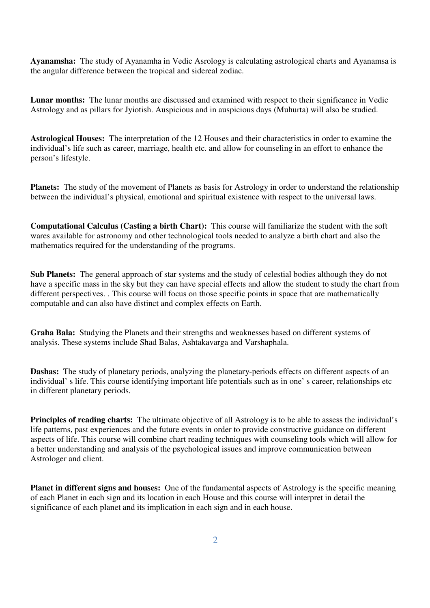**Ayanamsha:** The study of Ayanamha in Vedic Asrology is calculating astrological charts and Ayanamsa is the angular difference between the tropical and sidereal zodiac.

**Lunar months:** The lunar months are discussed and examined with respect to their significance in Vedic Astrology and as pillars for Jyiotish. Auspicious and in auspicious days (Muhurta) will also be studied.

**Astrological Houses:** The interpretation of the 12 Houses and their characteristics in order to examine the individual's life such as career, marriage, health etc. and allow for counseling in an effort to enhance the person's lifestyle.

**Planets:** The study of the movement of Planets as basis for Astrology in order to understand the relationship between the individual's physical, emotional and spiritual existence with respect to the universal laws.

**Computational Calculus (Casting a birth Chart):** This course will familiarize the student with the soft wares available for astronomy and other technological tools needed to analyze a birth chart and also the mathematics required for the understanding of the programs.

**Sub Planets:** The general approach of star systems and the study of celestial bodies although they do not have a specific mass in the sky but they can have special effects and allow the student to study the chart from different perspectives. . This course will focus on those specific points in space that are mathematically computable and can also have distinct and complex effects on Earth.

**Graha Bala:** Studying the Planets and their strengths and weaknesses based on different systems of analysis. These systems include Shad Balas, Ashtakavarga and Varshaphala.

**Dashas:** The study of planetary periods, analyzing the planetary-periods effects on different aspects of an individual' s life. This course identifying important life potentials such as in one' s career, relationships etc in different planetary periods.

**Principles of reading charts:** The ultimate objective of all Astrology is to be able to assess the individual's life patterns, past experiences and the future events in order to provide constructive guidance on different aspects of life. This course will combine chart reading techniques with counseling tools which will allow for a better understanding and analysis of the psychological issues and improve communication between Astrologer and client.

**Planet in different signs and houses:** One of the fundamental aspects of Astrology is the specific meaning of each Planet in each sign and its location in each House and this course will interpret in detail the significance of each planet and its implication in each sign and in each house.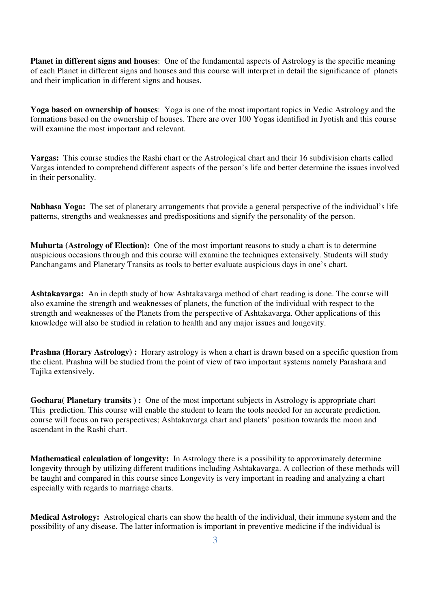**Planet in different signs and houses**: One of the fundamental aspects of Astrology is the specific meaning of each Planet in different signs and houses and this course will interpret in detail the significance of planets and their implication in different signs and houses.

**Yoga based on ownership of houses**: Yoga is one of the most important topics in Vedic Astrology and the formations based on the ownership of houses. There are over 100 Yogas identified in Jyotish and this course will examine the most important and relevant.

**Vargas:** This course studies the Rashi chart or the Astrological chart and their 16 subdivision charts called Vargas intended to comprehend different aspects of the person's life and better determine the issues involved in their personality.

**Nabhasa Yoga:** The set of planetary arrangements that provide a general perspective of the individual's life patterns, strengths and weaknesses and predispositions and signify the personality of the person.

**Muhurta (Astrology of Election):** One of the most important reasons to study a chart is to determine auspicious occasions through and this course will examine the techniques extensively. Students will study Panchangams and Planetary Transits as tools to better evaluate auspicious days in one's chart.

**Ashtakavarga:** An in depth study of how Ashtakavarga method of chart reading is done. The course will also examine the strength and weaknesses of planets, the function of the individual with respect to the strength and weaknesses of the Planets from the perspective of Ashtakavarga. Other applications of this knowledge will also be studied in relation to health and any major issues and longevity.

**Prashna (Horary Astrology) :** Horary astrology is when a chart is drawn based on a specific question from the client. Prashna will be studied from the point of view of two important systems namely Parashara and Tajika extensively.

**Gochara( Planetary transits ) :** One of the most important subjects in Astrology is appropriate chart This prediction. This course will enable the student to learn the tools needed for an accurate prediction. course will focus on two perspectives; Ashtakavarga chart and planets' position towards the moon and ascendant in the Rashi chart.

**Mathematical calculation of longevity:** In Astrology there is a possibility to approximately determine longevity through by utilizing different traditions including Ashtakavarga. A collection of these methods will be taught and compared in this course since Longevity is very important in reading and analyzing a chart especially with regards to marriage charts.

**Medical Astrology:** Astrological charts can show the health of the individual, their immune system and the possibility of any disease. The latter information is important in preventive medicine if the individual is